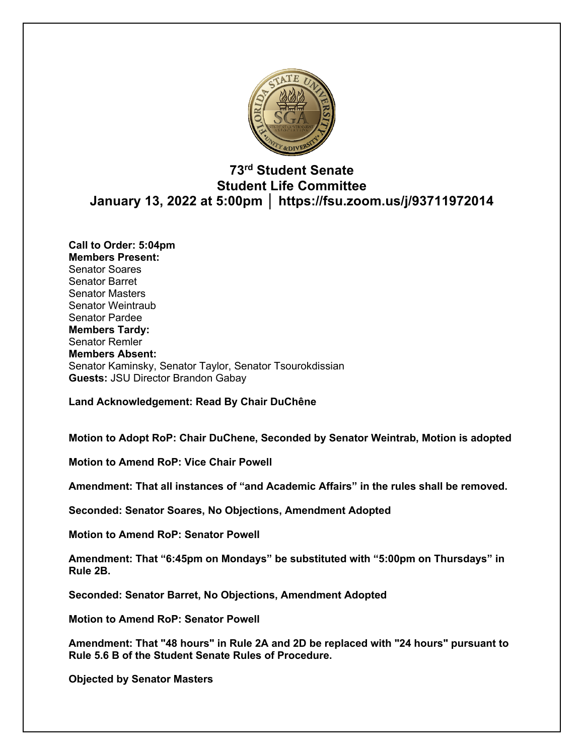

# **73rd Student Senate Student Life Committee January 13, 2022 at 5:00pm │ https://fsu.zoom.us/j/93711972014**

**Call to Order: 5:04pm Members Present:**  Senator Soares Senator Barret Senator Masters Senator Weintraub Senator Pardee **Members Tardy:** Senator Remler **Members Absent:** Senator Kaminsky, Senator Taylor, Senator Tsourokdissian **Guests:** JSU Director Brandon Gabay

**Land Acknowledgement: Read By Chair DuChêne**

**Motion to Adopt RoP: Chair DuChene, Seconded by Senator Weintrab, Motion is adopted**

**Motion to Amend RoP: Vice Chair Powell**

**Amendment: That all instances of "and Academic Affairs" in the rules shall be removed.**

**Seconded: Senator Soares, No Objections, Amendment Adopted**

**Motion to Amend RoP: Senator Powell**

**Amendment: That "6:45pm on Mondays" be substituted with "5:00pm on Thursdays" in Rule 2B.**

**Seconded: Senator Barret, No Objections, Amendment Adopted**

**Motion to Amend RoP: Senator Powell**

**Amendment: That "48 hours" in Rule 2A and 2D be replaced with "24 hours" pursuant to Rule 5.6 B of the Student Senate Rules of Procedure.**

**Objected by Senator Masters**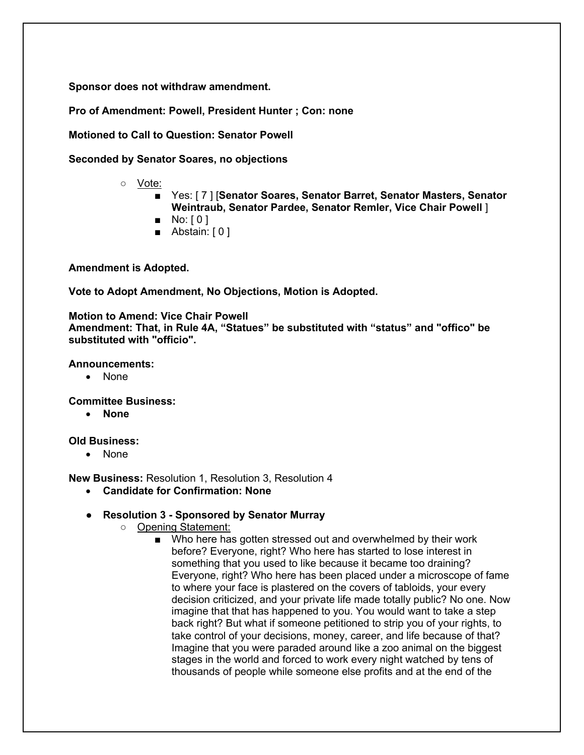**Sponsor does not withdraw amendment.**

**Pro of Amendment: Powell, President Hunter ; Con: none**

**Motioned to Call to Question: Senator Powell**

**Seconded by Senator Soares, no objections**

- Vote:
	- Yes: [7] **[Senator Soares, Senator Barret, Senator Masters, Senator Weintraub, Senator Pardee, Senator Remler, Vice Chair Powell** ]
	- $\blacksquare$  No:  $[0]$
	- Abstain: [0]

**Amendment is Adopted.**

**Vote to Adopt Amendment, No Objections, Motion is Adopted.**

**Motion to Amend: Vice Chair Powell Amendment: That, in Rule 4A, "Statues" be substituted with "status" and "offico" be substituted with "officio".**

**Announcements:**

• None

**Committee Business:** 

• **None**

**Old Business:** 

• None

**New Business:** Resolution 1, Resolution 3, Resolution 4

- **Candidate for Confirmation: None**
- **Resolution 3 - Sponsored by Senator Murray**
	- Opening Statement:
		- Who here has gotten stressed out and overwhelmed by their work before? Everyone, right? Who here has started to lose interest in something that you used to like because it became too draining? Everyone, right? Who here has been placed under a microscope of fame to where your face is plastered on the covers of tabloids, your every decision criticized, and your private life made totally public? No one. Now imagine that that has happened to you. You would want to take a step back right? But what if someone petitioned to strip you of your rights, to take control of your decisions, money, career, and life because of that? Imagine that you were paraded around like a zoo animal on the biggest stages in the world and forced to work every night watched by tens of thousands of people while someone else profits and at the end of the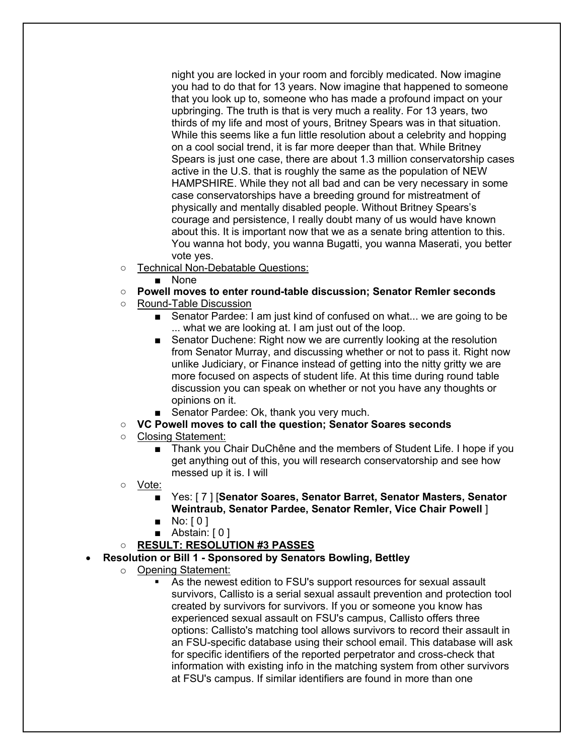night you are locked in your room and forcibly medicated. Now imagine you had to do that for 13 years. Now imagine that happened to someone that you look up to, someone who has made a profound impact on your upbringing. The truth is that is very much a reality. For 13 years, two thirds of my life and most of yours, Britney Spears was in that situation. While this seems like a fun little resolution about a celebrity and hopping on a cool social trend, it is far more deeper than that. While Britney Spears is just one case, there are about 1.3 million conservatorship cases active in the U.S. that is roughly the same as the population of NEW HAMPSHIRE. While they not all bad and can be very necessary in some case conservatorships have a breeding ground for mistreatment of physically and mentally disabled people. Without Britney Spears's courage and persistence, I really doubt many of us would have known about this. It is important now that we as a senate bring attention to this. You wanna hot body, you wanna Bugatti, you wanna Maserati, you better vote yes.

- Technical Non-Debatable Questions:
	- None
- **Powell moves to enter round-table discussion; Senator Remler seconds**
- Round-Table Discussion
	- Senator Pardee: I am just kind of confused on what... we are going to be ... what we are looking at. I am just out of the loop.
	- Senator Duchene: Right now we are currently looking at the resolution from Senator Murray, and discussing whether or not to pass it. Right now unlike Judiciary, or Finance instead of getting into the nitty gritty we are more focused on aspects of student life. At this time during round table discussion you can speak on whether or not you have any thoughts or opinions on it.
	- Senator Pardee: Ok, thank you very much.
- **VC Powell moves to call the question; Senator Soares seconds**
- Closing Statement:
	- Thank you Chair DuChêne and the members of Student Life. I hope if you get anything out of this, you will research conservatorship and see how messed up it is. I will
- Vote:
	- Yes: [ 7 ] [**Senator Soares, Senator Barret, Senator Masters, Senator Weintraub, Senator Pardee, Senator Remler, Vice Chair Powell** ]
	- $\blacksquare$  No:  $[0]$
	- Abstain: [0]
- **RESULT: RESOLUTION #3 PASSES**
- **Resolution or Bill 1 - Sponsored by Senators Bowling, Bettley**
	- o Opening Statement:
		- As the newest edition to FSU's support resources for sexual assault survivors, Callisto is a serial sexual assault prevention and protection tool created by survivors for survivors. If you or someone you know has experienced sexual assault on FSU's campus, Callisto offers three options: Callisto's matching tool allows survivors to record their assault in an FSU-specific database using their school email. This database will ask for specific identifiers of the reported perpetrator and cross-check that information with existing info in the matching system from other survivors at FSU's campus. If similar identifiers are found in more than one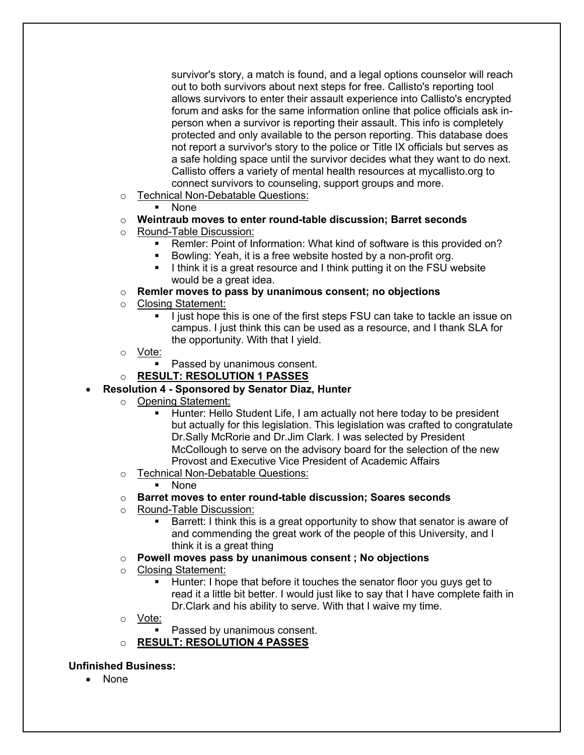survivor's story, a match is found, and a legal options counselor will reach out to both survivors about next steps for free. Callisto's reporting tool allows survivors to enter their assault experience into Callisto's encrypted forum and asks for the same information online that police officials ask inperson when a survivor is reporting their assault. This info is completely protected and only available to the person reporting. This database does not report a survivor's story to the police or Title IX officials but serves as a safe holding space until the survivor decides what they want to do next. Callisto offers a variety of mental health resources at mycallisto.org to connect survivors to counseling, support groups and more.

- o Technical Non-Debatable Questions:
	- § None

## o **Weintraub moves to enter round-table discussion; Barret seconds**

- o Round-Table Discussion:
	- Remler: Point of Information: What kind of software is this provided on?
	- Bowling: Yeah, it is a free website hosted by a non-profit org.
	- I think it is a great resource and I think putting it on the FSU website would be a great idea.
- o **Remler moves to pass by unanimous consent; no objections**
- o Closing Statement:
	- § I just hope this is one of the first steps FSU can take to tackle an issue on campus. I just think this can be used as a resource, and I thank SLA for the opportunity. With that I yield.
- o Vote:
	- Passed by unanimous consent.
- o **RESULT: RESOLUTION 1 PASSES**

## • **Resolution 4 - Sponsored by Senator Diaz, Hunter**

- o Opening Statement:
	- Hunter: Hello Student Life, I am actually not here today to be president but actually for this legislation. This legislation was crafted to congratulate Dr.Sally McRorie and Dr.Jim Clark. I was selected by President McCollough to serve on the advisory board for the selection of the new Provost and Executive Vice President of Academic Affairs
- o Technical Non-Debatable Questions:
	- § None
- o **Barret moves to enter round-table discussion; Soares seconds**
- o Round-Table Discussion:
	- Barrett: I think this is a great opportunity to show that senator is aware of and commending the great work of the people of this University, and I think it is a great thing
- o **Powell moves pass by unanimous consent ; No objections**
- o Closing Statement:
	- § Hunter: I hope that before it touches the senator floor you guys get to read it a little bit better. I would just like to say that I have complete faith in Dr.Clark and his ability to serve. With that I waive my time.
- o Vote:
	- Passed by unanimous consent.
- o **RESULT: RESOLUTION 4 PASSES**

## **Unfinished Business:**

• None